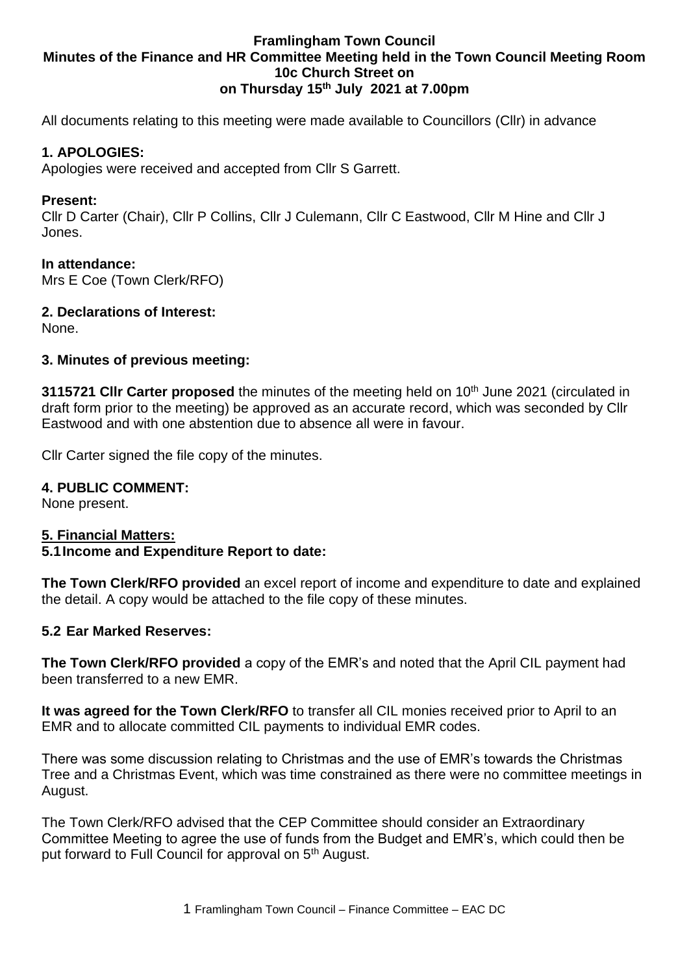## **Framlingham Town Council Minutes of the Finance and HR Committee Meeting held in the Town Council Meeting Room 10c Church Street on on Thursday 15th July 2021 at 7.00pm**

All documents relating to this meeting were made available to Councillors (Cllr) in advance

## **1. APOLOGIES:**

Apologies were received and accepted from Cllr S Garrett.

### **Present:**

Cllr D Carter (Chair), Cllr P Collins, Cllr J Culemann, Cllr C Eastwood, Cllr M Hine and Cllr J Jones.

### **In attendance:**

Mrs E Coe (Town Clerk/RFO)

**2. Declarations of Interest:**

None.

### **3. Minutes of previous meeting:**

**3115721 CIIr Carter proposed** the minutes of the meeting held on 10<sup>th</sup> June 2021 (circulated in draft form prior to the meeting) be approved as an accurate record, which was seconded by Cllr Eastwood and with one abstention due to absence all were in favour.

Cllr Carter signed the file copy of the minutes.

### **4. PUBLIC COMMENT:**

None present.

### **5. Financial Matters:**

### **5.1Income and Expenditure Report to date:**

**The Town Clerk/RFO provided** an excel report of income and expenditure to date and explained the detail. A copy would be attached to the file copy of these minutes.

### **5.2 Ear Marked Reserves:**

**The Town Clerk/RFO provided** a copy of the EMR's and noted that the April CIL payment had been transferred to a new EMR.

**It was agreed for the Town Clerk/RFO** to transfer all CIL monies received prior to April to an EMR and to allocate committed CIL payments to individual EMR codes.

There was some discussion relating to Christmas and the use of EMR's towards the Christmas Tree and a Christmas Event, which was time constrained as there were no committee meetings in August.

The Town Clerk/RFO advised that the CEP Committee should consider an Extraordinary Committee Meeting to agree the use of funds from the Budget and EMR's, which could then be put forward to Full Council for approval on 5<sup>th</sup> August.